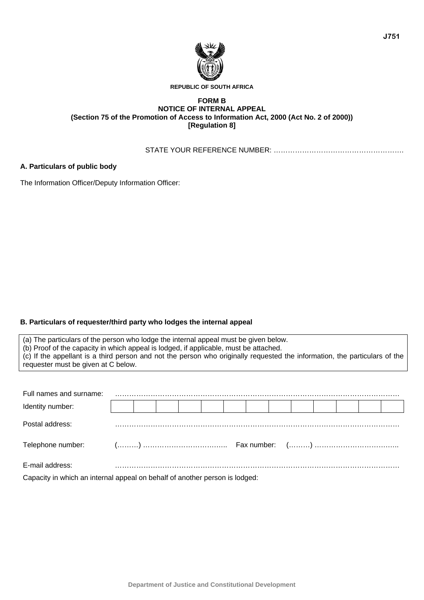

#### **REPUBLIC OF SOUTH AFRICA**

# **FORM B NOTICE OF INTERNAL APPEAL (Section 75 of the Promotion of Access to Information Act, 2000 (Act No. 2 of 2000)) [Regulation 8]**

STATE YOUR REFERENCE NUMBER: ……………………………………………….

### **A. Particulars of public body**

The Information Officer/Deputy Information Officer:

# **B. Particulars of requester/third party who lodges the internal appeal**

(a) The particulars of the person who lodge the internal appeal must be given below. (b) Proof of the capacity in which appeal is lodged, if applicable, must be attached. (c) If the appellant is a third person and not the person who originally requested the information, the particulars of the requester must be given at C below.

| Full names and surname:                                                                                                                                                                                                                               |  |  |  |  |  |  |  |
|-------------------------------------------------------------------------------------------------------------------------------------------------------------------------------------------------------------------------------------------------------|--|--|--|--|--|--|--|
| Identity number:                                                                                                                                                                                                                                      |  |  |  |  |  |  |  |
| Postal address:                                                                                                                                                                                                                                       |  |  |  |  |  |  |  |
|                                                                                                                                                                                                                                                       |  |  |  |  |  |  |  |
| E-mail address:<br>$\bullet$ . The set of the set of the set of the set of the set of the set of the set of the set of the set of the set of the set of the set of the set of the set of the set of the set of the set of the set of the set of the s |  |  |  |  |  |  |  |

Capacity in which an internal appeal on behalf of another person is lodged: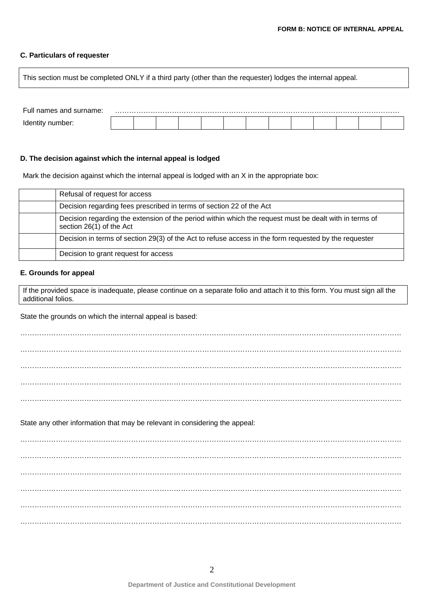# **C. Particulars of requester**

This section must be completed ONLY if a third party (other than the requester) lodges the internal appeal.

| Full names and surname: |  |  |  |  |  |  |  |
|-------------------------|--|--|--|--|--|--|--|
|                         |  |  |  |  |  |  |  |

## **D. The decision against which the internal appeal is lodged**

Mark the decision against which the internal appeal is lodged with an X in the appropriate box:

| Refusal of request for access                                                                                                      |
|------------------------------------------------------------------------------------------------------------------------------------|
| Decision regarding fees prescribed in terms of section 22 of the Act                                                               |
| Decision regarding the extension of the period within which the request must be dealt with in terms of<br>section 26(1) of the Act |
| Decision in terms of section 29(3) of the Act to refuse access in the form requested by the requester                              |
| Decision to grant request for access                                                                                               |

## **E. Grounds for appeal**

If the provided space is inadequate, please continue on a separate folio and attach it to this form. You must sign all the additional folios.

State the grounds on which the internal appeal is based:

…………………………………..………………………………………………………………………………………………………… …………………………………..………………………………………………………………………………………………………… …………………………………..………………………………………………………………………………………………………… …………………………………..………………………………………………………………………………………………………… State any other information that may be relevant in considering the appeal: …………………………………..………………………………………………………………………………………………………… …………………………………..………………………………………………………………………………………………………… …………………………………..………………………………………………………………………………………………………… …………………………………..………………………………………………………………………………………………………… …………………………………..………………………………………………………………………………………………………… …………………………………..…………………………………………………………………………………………………………